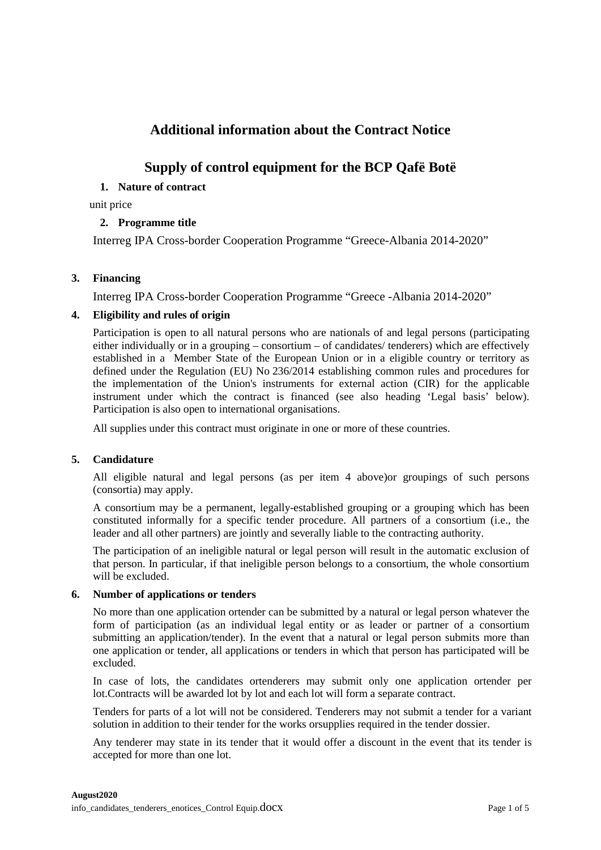# **Additional information about the Contract Notice**

# **Supply of control equipment for the BCP Qafë Botë**

# **1. Nature of contract**

unit price

# **2. Programme title**

Interreg IPA Cross-border Cooperation Programme "Greece-Albania 2014-2020"

# **3. Financing**

Interreg IPA Cross-border Cooperation Programme "Greece -Albania 2014-2020"

# **4. Eligibility and rules of origin**

Participation is open to all natural persons who are nationals of and legal persons (participating either individually or in a grouping – consortium – of candidates/ tenderers) which are effectively established in a Member State of the European Union or in a eligible country or territory as defined under the Regulation (EU) No 236/2014 establishing common rules and procedures for the implementation of the Union's instruments for external action (CIR) for the applicable instrument under which the contract is financed (see also heading 'Legal basis' below). Participation is also open to international organisations.

All supplies under this contract must originate in one or more of these countries.

# **5. Candidature**

All eligible natural and legal persons (as per item 4 above)or groupings of such persons (consortia) may apply.

A consortium may be a permanent, legally-established grouping or a grouping which has been constituted informally for a specific tender procedure. All partners of a consortium (i.e., the leader and all other partners) are jointly and severally liable to the contracting authority.

The participation of an ineligible natural or legal person will result in the automatic exclusion of that person. In particular, if that ineligible person belongs to a consortium, the whole consortium will be excluded.

# **6. Number of applications or tenders**

No more than one application ortender can be submitted by a natural or legal person whatever the form of participation (as an individual legal entity or as leader or partner of a consortium submitting an application/tender). In the event that a natural or legal person submits more than one application or tender, all applications or tenders in which that person has participated will be excluded.

In case of lots, the candidates ortenderers may submit only one application ortender per lot.Contracts will be awarded lot by lot and each lot will form a separate contract.

Tenders for parts of a lot will not be considered. Tenderers may not submit a tender for a variant solution in addition to their tender for the works orsupplies required in the tender dossier.

Any tenderer may state in its tender that it would offer a discount in the event that its tender is accepted for more than one lot.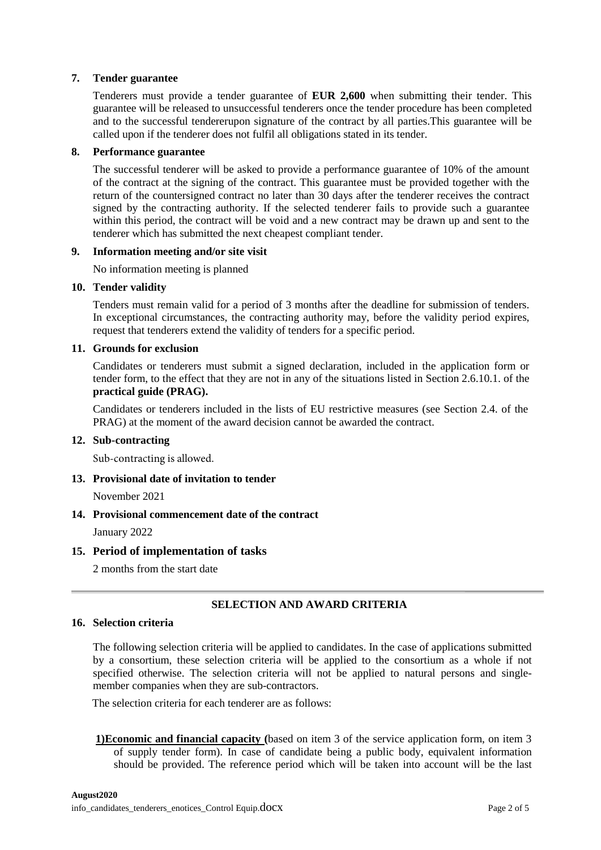# **7. Tender guarantee**

Tenderers must provide a tender guarantee of **EUR 2,600** when submitting their tender. This guarantee will be released to unsuccessful tenderers once the tender procedure has been completed and to the successful tendererupon signature of the contract by all parties.This guarantee will be called upon if the tenderer does not fulfil all obligations stated in its tender.

### **8. Performance guarantee**

The successful tenderer will be asked to provide a performance guarantee of 10% of the amount of the contract at the signing of the contract. This guarantee must be provided together with the return of the countersigned contract no later than 30 days after the tenderer receives the contract signed by the contracting authority. If the selected tenderer fails to provide such a guarantee within this period, the contract will be void and a new contract may be drawn up and sent to the tenderer which has submitted the next cheapest compliant tender.

#### **9. Information meeting and/or site visit**

No information meeting is planned

#### **10. Tender validity**

Tenders must remain valid for a period of 3 months after the deadline for submission of tenders. In exceptional circumstances, the contracting authority may, before the validity period expires, request that tenderers extend the validity of tenders for a specific period.

### **11. Grounds for exclusion**

Candidates or tenderers must submit a signed declaration, included in the application form or tender form, to the effect that they are not in any of the situations listed in Section 2.6.10.1. of the **practical guide (PRAG).**

Candidates or tenderers included in the lists of EU restrictive measures (see Section 2.4. of the PRAG) at the moment of the award decision cannot be awarded the contract.

# **12. Sub-contracting**

Sub-contracting is allowed.

**13. Provisional date of invitation to tender** 

November 2021

# **14. Provisional commencement date of the contract**

January 2022

# **15. Period of implementation of tasks**

2 months from the start date

# **SELECTION AND AWARD CRITERIA**

### **16. Selection criteria**

The following selection criteria will be applied to candidates. In the case of applications submitted by a consortium, these selection criteria will be applied to the consortium as a whole if not specified otherwise. The selection criteria will not be applied to natural persons and singlemember companies when they are sub-contractors.

The selection criteria for each tenderer are as follows:

**1)Economic and financial capacity (**based on item 3 of the service application form, on item 3 of supply tender form). In case of candidate being a public body, equivalent information should be provided. The reference period which will be taken into account will be the last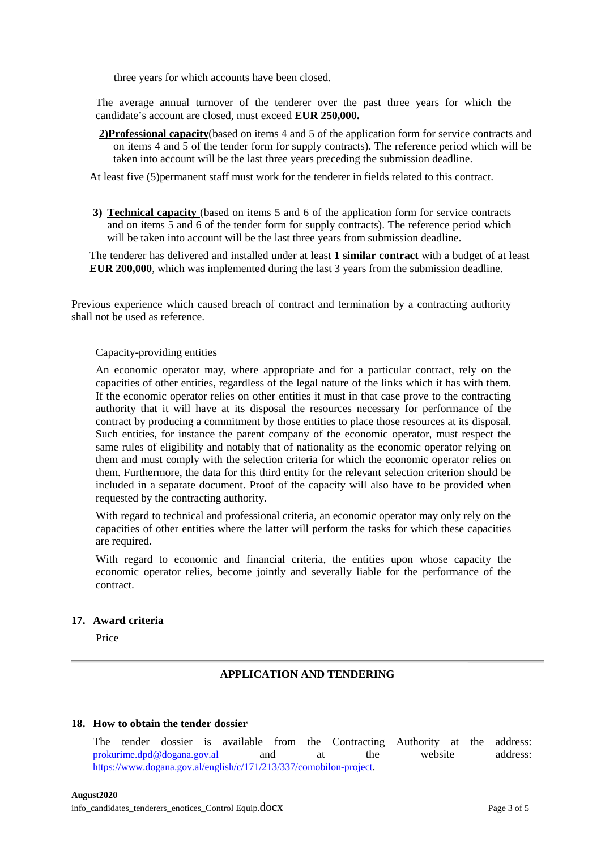three years for which accounts have been closed.

The average annual turnover of the tenderer over the past three years for which the candidate's account are closed, must exceed **EUR 250,000.**

**2)Professional capacity**(based on items 4 and 5 of the application form for service contracts and on items 4 and 5 of the tender form for supply contracts). The reference period which will be taken into account will be the last three years preceding the submission deadline.

At least five (5)permanent staff must work for the tenderer in fields related to this contract.

**3) Technical capacity** (based on items 5 and 6 of the application form for service contracts and on items 5 and 6 of the tender form for supply contracts). The reference period which will be taken into account will be the last three years from submission deadline.

The tenderer has delivered and installed under at least **1 similar contract** with a budget of at least **EUR 200,000**, which was implemented during the last 3 years from the submission deadline.

Previous experience which caused breach of contract and termination by a contracting authority shall not be used as reference.

#### Capacity-providing entities

An economic operator may, where appropriate and for a particular contract, rely on the capacities of other entities, regardless of the legal nature of the links which it has with them. If the economic operator relies on other entities it must in that case prove to the contracting authority that it will have at its disposal the resources necessary for performance of the contract by producing a commitment by those entities to place those resources at its disposal. Such entities, for instance the parent company of the economic operator, must respect the same rules of eligibility and notably that of nationality as the economic operator relying on them and must comply with the selection criteria for which the economic operator relies on them. Furthermore, the data for this third entity for the relevant selection criterion should be included in a separate document. Proof of the capacity will also have to be provided when requested by the contracting authority.

With regard to technical and professional criteria, an economic operator may only rely on the capacities of other entities where the latter will perform the tasks for which these capacities are required.

With regard to economic and financial criteria, the entities upon whose capacity the economic operator relies, become jointly and severally liable for the performance of the contract.

# **17. Award criteria**

Price

# **APPLICATION AND TENDERING**

#### **18. How to obtain the tender dossier**

The tender dossier is available from the Contracting Authority at the address: [prokurime.dpd@dogana.gov.al](mailto:prokurime@dogana.gov.al) and at the website address: [https://www.dogana.gov.al/english/c/171/213/337/comobilon-project.](https://www.dogana.gov.al/english/c/171/213/337/comobilon-project)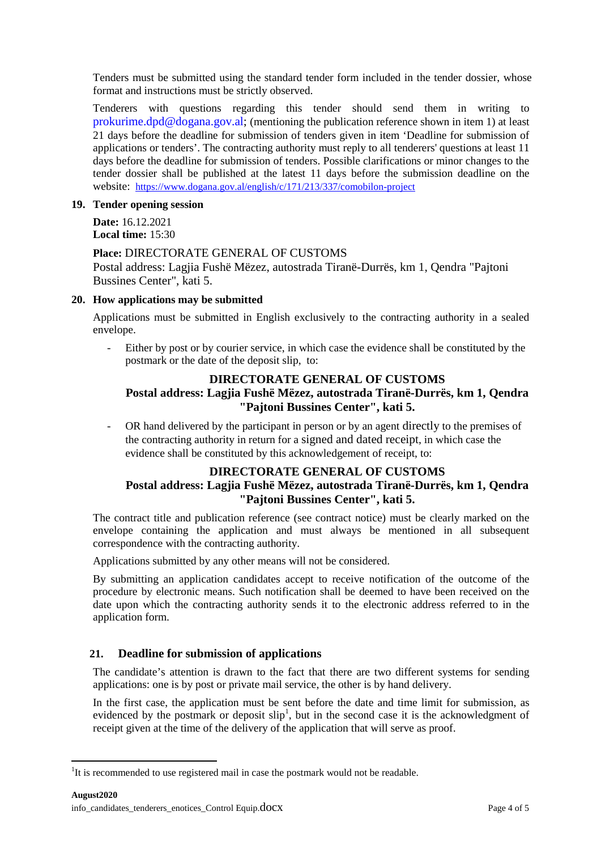Tenders must be submitted using the standard tender form included in the tender dossier, whose format and instructions must be strictly observed.

Tenderers with questions regarding this tender should send them in writing to [prokurime.dpd@dogana.gov.al;](mailto:prokurime@dogana.gov.al) (mentioning the publication reference shown in item 1) at least 21 days before the deadline for submission of tenders given in item 'Deadline for submission of applications or tenders'. The contracting authority must reply to all tenderers' questions at least 11 days before the deadline for submission of tenders. Possible clarifications or minor changes to the tender dossier shall be published at the latest 11 days before the submission deadline on the website: <https://www.dogana.gov.al/english/c/171/213/337/comobilon-project>

# **19. Tender opening session**

**Date:** 16.12.2021 **Local time:** 15:30

# **Place:** DIRECTORATE GENERAL OF CUSTOMS

Postal address: Lagjia Fushë Mëzez, autostrada Tiranë-Durrës, km 1, Qendra "Pajtoni Bussines Center", kati 5.

# **20. How applications may be submitted**

Applications must be submitted in English exclusively to the contracting authority in a sealed envelope.

- Either by post or by courier service, in which case the evidence shall be constituted by the postmark or the date of the deposit slip, to:

# **DIRECTORATE GENERAL OF CUSTOMS Postal address: Lagjia Fushë Mëzez, autostrada Tiranë-Durrës, km 1, Qendra "Pajtoni Bussines Center", kati 5.**

- OR hand delivered by the participant in person or by an agent directly to the premises of the contracting authority in return for a signed and dated receipt, in which case the evidence shall be constituted by this acknowledgement of receipt, to:

# **DIRECTORATE GENERAL OF CUSTOMS Postal address: Lagjia Fushë Mëzez, autostrada Tiranë-Durrës, km 1, Qendra "Pajtoni Bussines Center", kati 5.**

The contract title and publication reference (see contract notice) must be clearly marked on the envelope containing the application and must always be mentioned in all subsequent correspondence with the contracting authority.

Applications submitted by any other means will not be considered.

By submitting an application candidates accept to receive notification of the outcome of the procedure by electronic means. Such notification shall be deemed to have been received on the date upon which the contracting authority sends it to the electronic address referred to in the application form.

# **21. Deadline for submission of applications**

The candidate's attention is drawn to the fact that there are two different systems for sending applications: one is by post or private mail service, the other is by hand delivery.

In the first case, the application must be sent before the date and time limit for submission, as evidenced by the postmark or deposit  $\text{slip}^1$  $\text{slip}^1$ , but in the second case it is the acknowledgment of receipt given at the time of the delivery of the application that will serve as proof.

<span id="page-3-0"></span> $\frac{1}{1}$  $1$ It is recommended to use registered mail in case the postmark would not be readable.